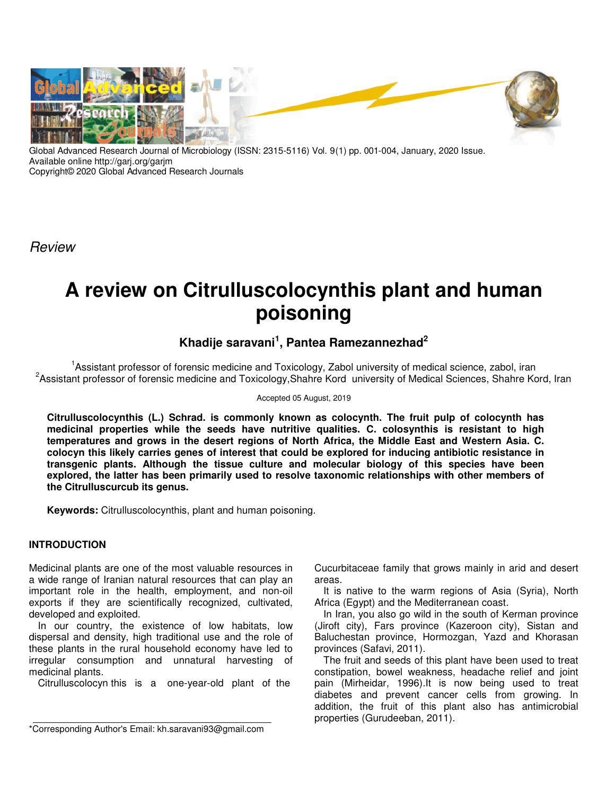

Global Advanced Research Journal of Microbiology (ISSN: 2315-5116) Vol. 9(1) pp. 001-004, January, 2020 Issue. Available online http://garj.org/garjm Copyright© 2020 Global Advanced Research Journals

Review

# **A review on Citrulluscolocynthis plant and human poisoning**

# **Khadije saravani<sup>1</sup> , Pantea Ramezannezhad<sup>2</sup>**

<sup>1</sup>Assistant professor of forensic medicine and Toxicology, Zabol university of medical science, zabol, iran <sup>2</sup>Assistant professor of forensic medicine and Toxicology,Shahre Kord university of Medical Sciences, Shahre Kord, Iran

#### Accepted 05 August, 2019

**Citrulluscolocynthis (L.) Schrad. is commonly known as colocynth. The fruit pulp of colocynth has medicinal properties while the seeds have nutritive qualities. C. colosynthis is resistant to high temperatures and grows in the desert regions of North Africa, the Middle East and Western Asia. C. colocyn this likely carries genes of interest that could be explored for inducing antibiotic resistance in transgenic plants. Although the tissue culture and molecular biology of this species have been explored, the latter has been primarily used to resolve taxonomic relationships with other members of the Citrulluscurcub its genus.**

**Keywords:** Citrulluscolocynthis, plant and human poisoning.

## **INTRODUCTION**

Medicinal plants are one of the most valuable resources in a wide range of Iranian natural resources that can play an important role in the health, employment, and non-oil exports if they are scientifically recognized, cultivated, developed and exploited.

In our country, the existence of low habitats, low dispersal and density, high traditional use and the role of these plants in the rural household economy have led to irregular consumption and unnatural harvesting of medicinal plants.

Citrulluscolocyn this is a one-year-old plant of the

Cucurbitaceae family that grows mainly in arid and desert areas.

It is native to the warm regions of Asia (Syria), North Africa (Egypt) and the Mediterranean coast.

In Iran, you also go wild in the south of Kerman province (Jiroft city), Fars province (Kazeroon city), Sistan and Baluchestan province, Hormozgan, Yazd and Khorasan provinces (Safavi, 2011).

The fruit and seeds of this plant have been used to treat constipation, bowel weakness, headache relief and joint pain (Mirheidar, 1996).It is now being used to treat diabetes and prevent cancer cells from growing. In addition, the fruit of this plant also has antimicrobial properties (Gurudeeban, 2011).

<sup>\*</sup>Corresponding Author's Email: kh.saravani93@gmail.com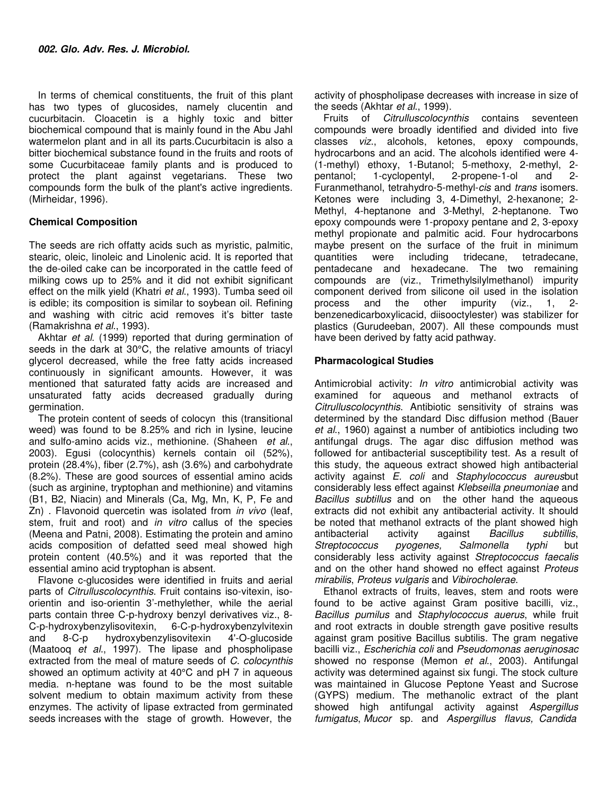In terms of chemical constituents, the fruit of this plant has two types of glucosides, namely clucentin and cucurbitacin. Cloacetin is a highly toxic and bitter biochemical compound that is mainly found in the Abu Jahl watermelon plant and in all its parts.Cucurbitacin is also a bitter biochemical substance found in the fruits and roots of some Cucurbitaceae family plants and is produced to protect the plant against vegetarians. These two compounds form the bulk of the plant's active ingredients. (Mirheidar, 1996).

### **Chemical Composition**

The seeds are rich offatty acids such as myristic, palmitic, stearic, oleic, linoleic and Linolenic acid. It is reported that the de-oiled cake can be incorporated in the cattle feed of milking cows up to 25% and it did not exhibit significant effect on the milk yield (Khatri et al., 1993). Tumba seed oil is edible; its composition is similar to soybean oil. Refining and washing with citric acid removes it's bitter taste (Ramakrishna et al., 1993).

Akhtar et al. (1999) reported that during germination of seeds in the dark at 30°C, the relative amounts of triacyl glycerol decreased, while the free fatty acids increased continuously in significant amounts. However, it was mentioned that saturated fatty acids are increased and unsaturated fatty acids decreased gradually during germination.

The protein content of seeds of colocyn this (transitional weed) was found to be 8.25% and rich in lysine, leucine and sulfo-amino acids viz., methionine. (Shaheen et al., 2003). Egusi (colocynthis) kernels contain oil (52%), protein (28.4%), fiber (2.7%), ash (3.6%) and carbohydrate (8.2%). These are good sources of essential amino acids (such as arginine, tryptophan and methionine) and vitamins (B1, B2, Niacin) and Minerals (Ca, Mg, Mn, K, P, Fe and Zn) . Flavonoid quercetin was isolated from *in vivo* (leaf, stem, fruit and root) and *in vitro* callus of the species (Meena and Patni, 2008). Estimating the protein and amino acids composition of defatted seed meal showed high protein content (40.5%) and it was reported that the essential amino acid tryptophan is absent.

Flavone c-glucosides were identified in fruits and aerial parts of Citrulluscolocynthis. Fruit contains iso-vitexin, isoorientin and iso-orientin 3'-methylether, while the aerial parts contain three C-p-hydroxy benzyl derivatives viz., 8- 6-C-p-hydroxybenzylvitexin and 8-C-p hydroxybenzylisovitexin 4'-O-glucoside (Maatooq et al., 1997). The lipase and phospholipase extracted from the meal of mature seeds of C. colocynthis showed an optimum activity at 40°C and pH 7 in aqueous media. n-heptane was found to be the most suitable solvent medium to obtain maximum activity from these enzymes. The activity of lipase extracted from germinated seeds increases with the stage of growth. However, the

activity of phospholipase decreases with increase in size of the seeds (Akhtar et al., 1999).

Fruits of Citrulluscolocynthis contains seventeen compounds were broadly identified and divided into five classes viz., alcohols, ketones, epoxy compounds, hydrocarbons and an acid. The alcohols identified were 4- (1-methyl) ethoxy, 1-Butanol; 5-methoxy, 2-methyl, 2 pentanol; 1-cyclopentyl, 2-propene-1-ol and 2- Furanmethanol, tetrahydro-5-methyl-cis and trans isomers. Ketones were including 3, 4-Dimethyl, 2-hexanone; 2- Methyl, 4-heptanone and 3-Methyl, 2-heptanone. Two epoxy compounds were 1-propoxy pentane and 2, 3-epoxy methyl propionate and palmitic acid. Four hydrocarbons maybe present on the surface of the fruit in minimum quantities were including tridecane, tetradecane, pentadecane and hexadecane. The two remaining compounds are (viz., Trimethylsilylmethanol) impurity component derived from silicone oil used in the isolation process and the other impurity (viz., 1, 2 benzenedicarboxylicacid, diisooctylester) was stabilizer for plastics (Gurudeeban, 2007). All these compounds must have been derived by fatty acid pathway.

#### **Pharmacological Studies**

Antimicrobial activity: *In vitro* antimicrobial activity was examined for aqueous and methanol extracts of Citrulluscolocynthis. Antibiotic sensitivity of strains was determined by the standard Disc diffusion method (Bauer et al., 1960) against a number of antibiotics including two antifungal drugs. The agar disc diffusion method was followed for antibacterial susceptibility test. As a result of this study, the aqueous extract showed high antibacterial activity against E. coli and Staphylococcus aureusbut considerably less effect against Klebseilla pneumoniae and Bacillus subtillus and on the other hand the aqueous extracts did not exhibit any antibacterial activity. It should be noted that methanol extracts of the plant showed high antibacterial activity against Bacillus subtillis, Streptococcus pyogenes, Salmonella typhi but considerably less activity against Streptococcus faecalis and on the other hand showed no effect against Proteus mirabilis, Proteus vulgaris and Vibirocholerae.

Ethanol extracts of fruits, leaves, stem and roots were found to be active against Gram positive bacilli, viz., Bacillus pumilus and Staphylococcus auerus, while fruit and root extracts in double strength gave positive results against gram positive Bacillus subtilis. The gram negative bacilli viz., Escherichia coli and Pseudomonas aeruginosac showed no response (Memon et al., 2003). Antifungal activity was determined against six fungi. The stock culture was maintained in Glucose Peptone Yeast and Sucrose (GYPS) medium. The methanolic extract of the plant showed high antifungal activity against Aspergillus fumigatus, Mucor sp. and Aspergillus flavus, Candida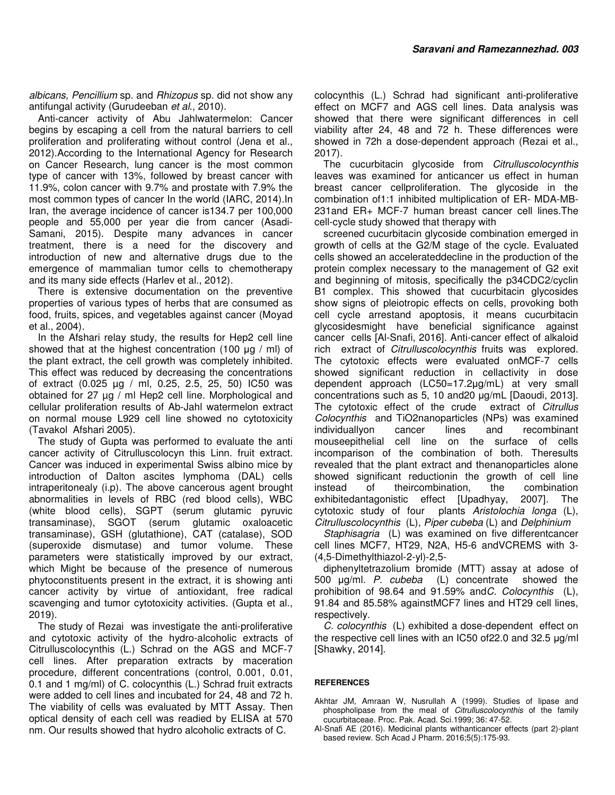albicans, Pencillium sp. and Rhizopus sp. did not show any antifungal activity (Gurudeeban et al., 2010).

Anti-cancer activity of Abu Jahlwatermelon: Cancer begins by escaping a cell from the natural barriers to cell proliferation and proliferating without control (Jena et al., 2012).According to the International Agency for Research on Cancer Research, lung cancer is the most common type of cancer with 13%, followed by breast cancer with 11.9%, colon cancer with 9.7% and prostate with 7.9% the most common types of cancer In the world (IARC, 2014).In Iran, the average incidence of cancer is134.7 per 100,000 people and 55,000 per year die from cancer (Asadi-Samani, 2015). Despite many advances in cancer treatment, there is a need for the discovery and introduction of new and alternative drugs due to the emergence of mammalian tumor cells to chemotherapy and its many side effects (Harlev et al., 2012).

There is extensive documentation on the preventive properties of various types of herbs that are consumed as food, fruits, spices, and vegetables against cancer (Moyad et al., 2004).

In the Afshari relay study, the results for Hep2 cell line showed that at the highest concentration (100 µg / ml) of the plant extract, the cell growth was completely inhibited. This effect was reduced by decreasing the concentrations of extract (0.025 µg / ml, 0.25, 2.5, 25, 50) IC50 was obtained for 27 µg / ml Hep2 cell line. Morphological and cellular proliferation results of Ab-Jahl watermelon extract on normal mouse L929 cell line showed no cytotoxicity (Tavakol Afshari 2005).

The study of Gupta was performed to evaluate the anti cancer activity of Citrulluscolocyn this Linn. fruit extract. Cancer was induced in experimental Swiss albino mice by introduction of Dalton ascites lymphoma (DAL) cells intraperitonealy (i.p). The above cancerous agent brought abnormalities in levels of RBC (red blood cells), WBC (white blood cells), SGPT (serum glutamic pyruvic transaminase), SGOT (serum glutamic oxaloacetic transaminase), GSH (glutathione), CAT (catalase), SOD (superoxide dismutase) and tumor volume. These parameters were statistically improved by our extract, which Might be because of the presence of numerous phytoconstituents present in the extract, it is showing anti cancer activity by virtue of antioxidant, free radical scavenging and tumor cytotoxicity activities. (Gupta et al., 2019).

The study of Rezai was investigate the anti-proliferative and cytotoxic activity of the hydro-alcoholic extracts of Citrulluscolocynthis (L.) Schrad on the AGS and MCF-7 cell lines. After preparation extracts by maceration procedure, different concentrations (control, 0.001, 0.01, 0.1 and 1 mg/ml) of C. colocynthis (L.) Schrad fruit extracts were added to cell lines and incubated for 24, 48 and 72 h. The viability of cells was evaluated by MTT Assay. Then optical density of each cell was readied by ELISA at 570 nm. Our results showed that hydro alcoholic extracts of C.

colocynthis (L.) Schrad had significant anti-proliferative effect on MCF7 and AGS cell lines. Data analysis was showed that there were significant differences in cell viability after 24, 48 and 72 h. These differences were showed in 72h a dose-dependent approach (Rezai et al., 2017).

The cucurbitacin glycoside from Citrulluscolocynthis leaves was examined for anticancer us effect in human breast cancer cellproliferation. The glycoside in the combination of1:1 inhibited multiplication of ER- MDA-MB-231and ER+ MCF-7 human breast cancer cell lines.The cell-cycle study showed that therapy with

screened cucurbitacin glycoside combination emerged in growth of cells at the G2/M stage of the cycle. Evaluated cells showed an accelerateddecline in the production of the protein complex necessary to the management of G2 exit and beginning of mitosis, specifically the p34CDC2/cyclin B1 complex. This showed that cucurbitacin glycosides show signs of pleiotropic effects on cells, provoking both cell cycle arrestand apoptosis, it means cucurbitacin glycosidesmight have beneficial significance against cancer cells [Al-Snafi, 2016]. Anti-cancer effect of alkaloid rich extract of Citrulluscolocynthis fruits was explored. The cytotoxic effects were evaluated onMCF-7 cells showed significant reduction in cellactivity in dose dependent approach (LC50=17.2µg/mL) at very small concentrations such as 5, 10 and20 µg/mL [Daoudi, 2013]. The cytotoxic effect of the crude extract of Citrullus Colocynthis and TiO2nanoparticles (NPs) was examined individuallyon cancer lines and recombinant mouseepithelial cell line on the surface of cells incomparison of the combination of both. Theresults revealed that the plant extract and thenanoparticles alone showed significant reductionin the growth of cell line instead of theircombination, the combination exhibitedantagonistic effect [Upadhyay, 2007]. The cytotoxic study of four plants Aristolochia longa (L), Citrulluscolocynthis (L), Piper cubeba (L) and Delphinium

Staphisagria (L) was examined on five differentcancer cell lines MCF7, HT29, N2A, H5-6 andVCREMS with 3- (4,5-Dimethylthiazol-2-yl)-2,5-

diphenyltetrazolium bromide (MTT) assay at adose of 500 µg/ml. P. cubeba (L) concentrate showed the prohibition of 98.64 and 91.59% andC. Colocynthis (L), 91.84 and 85.58% againstMCF7 lines and HT29 cell lines, respectively.

C. colocynthis (L) exhibited a dose-dependent effect on the respective cell lines with an IC50 of22.0 and 32.5 µg/ml [Shawky, 2014].

#### **REFERENCES**

- Akhtar JM, Amraan W, Nusrullah A (1999). Studies of lipase and phospholipase from the meal of Citrulluscolocynthis of the family cucurbitaceae. Proc. Pak. Acad. Sci.1999; 36: 47-52.
- Al-Snafi AE (2016). Medicinal plants withanticancer effects (part 2)-plant based review. Sch Acad J Pharm. 2016;5(5):175-93.